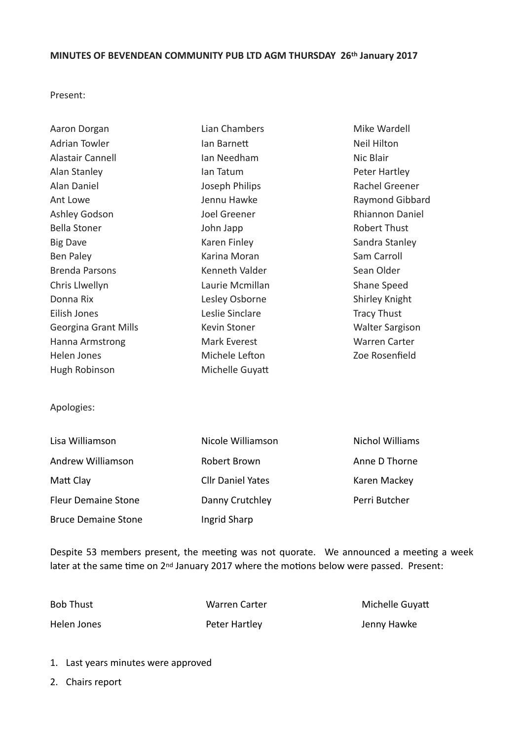## **MINUTES OF BEVENDEAN COMMUNITY PUB LTD AGM THURSDAY 26th January 2017**

Present: 

| Aaron Dorgan                | Lian Chambers   | Mike Wardell           |
|-----------------------------|-----------------|------------------------|
| <b>Adrian Towler</b>        | lan Barnett     | Neil Hilton            |
| Alastair Cannell            | Ian Needham     | Nic Blair              |
| Alan Stanley                | lan Tatum       | Peter Hartley          |
| Alan Daniel                 | Joseph Philips  | Rachel Greener         |
| Ant Lowe                    | Jennu Hawke     | Raymond Gibbard        |
| Ashley Godson               | Joel Greener    | <b>Rhiannon Daniel</b> |
| <b>Bella Stoner</b>         | John Japp       | <b>Robert Thust</b>    |
| <b>Big Dave</b>             | Karen Finley    | Sandra Stanley         |
| Ben Paley                   | Karina Moran    | Sam Carroll            |
| <b>Brenda Parsons</b>       | Kenneth Valder  | Sean Older             |
| Chris Llwellyn              | Laurie Mcmillan | Shane Speed            |
| Donna Rix                   | Lesley Osborne  | Shirley Knight         |
| Eilish Jones                | Leslie Sinclare | <b>Tracy Thust</b>     |
| <b>Georgina Grant Mills</b> | Kevin Stoner    | <b>Walter Sargison</b> |
| Hanna Armstrong             | Mark Everest    | <b>Warren Carter</b>   |
| Helen Jones                 | Michele Lefton  | Zoe Rosenfield         |
| Hugh Robinson               | Michelle Guyatt |                        |

Apologies: 

| Lisa Williamson            | Nicole Williamson        | Nichol Williams |
|----------------------------|--------------------------|-----------------|
| Andrew Williamson          | Robert Brown             | Anne D Thorne   |
| Matt Clay                  | <b>Cllr Daniel Yates</b> | Karen Mackey    |
| <b>Fleur Demaine Stone</b> | Danny Crutchley          | Perri Butcher   |
| <b>Bruce Demaine Stone</b> | Ingrid Sharp             |                 |

Despite 53 members present, the meeting was not quorate. We announced a meeting a week later at the same time on 2<sup>nd</sup> January 2017 where the motions below were passed. Present:

Helen Jones Peter Hartley Jenny Hawke 

Bob Thust **Making Community** Warren Carter **Call Community** Michelle Guyatt

- 1. Last years minutes were approved
- 2. Chairs report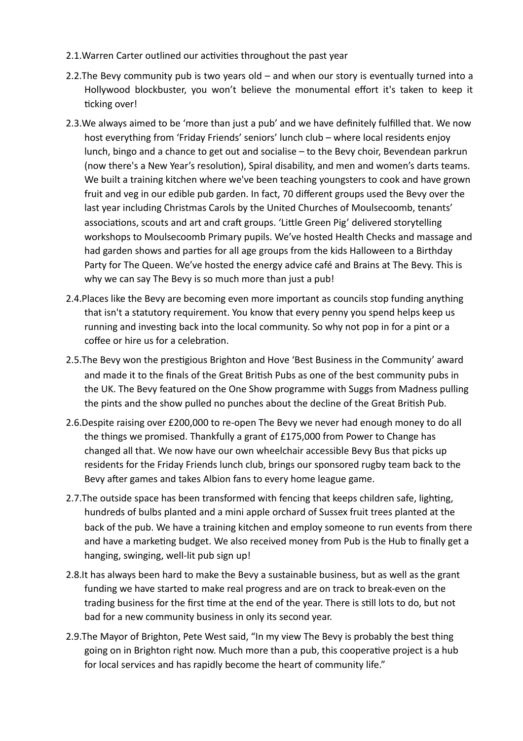- 2.1. Warren Carter outlined our activities throughout the past year
- 2.2. The Bevy community pub is two years old  $-$  and when our story is eventually turned into a Hollywood blockbuster, you won't believe the monumental effort it's taken to keep it ticking over!
- 2.3. We always aimed to be 'more than just a pub' and we have definitely fulfilled that. We now host everything from 'Friday Friends' seniors' lunch club – where local residents enjoy lunch, bingo and a chance to get out and socialise – to the Bevy choir, Bevendean parkrun (now there's a New Year's resolution), Spiral disability, and men and women's darts teams. We built a training kitchen where we've been teaching youngsters to cook and have grown fruit and veg in our edible pub garden. In fact, 70 different groups used the Bevy over the last year including Christmas Carols by the United Churches of Moulsecoomb, tenants' associations, scouts and art and craft groups. 'Little Green Pig' delivered storytelling workshops to Moulsecoomb Primary pupils. We've hosted Health Checks and massage and had garden shows and parties for all age groups from the kids Halloween to a Birthday Party for The Queen. We've hosted the energy advice café and Brains at The Bevy. This is why we can say The Bevy is so much more than just a pub!
- 2.4. Places like the Bevy are becoming even more important as councils stop funding anything that isn't a statutory requirement. You know that every penny you spend helps keep us running and investing back into the local community. So why not pop in for a pint or a coffee or hire us for a celebration.
- 2.5. The Bevy won the prestigious Brighton and Hove 'Best Business in the Community' award and made it to the finals of the Great British Pubs as one of the best community pubs in the UK. The Bevy featured on the One Show programme with Suggs from Madness pulling the pints and the show pulled no punches about the decline of the Great British Pub.
- 2.6.Despite raising over £200,000 to re-open The Bevy we never had enough money to do all the things we promised. Thankfully a grant of  $£175,000$  from Power to Change has changed all that. We now have our own wheelchair accessible Bevy Bus that picks up residents for the Friday Friends lunch club, brings our sponsored rugby team back to the Bevy after games and takes Albion fans to every home league game.
- 2.7. The outside space has been transformed with fencing that keeps children safe, lighting, hundreds of bulbs planted and a mini apple orchard of Sussex fruit trees planted at the back of the pub. We have a training kitchen and employ someone to run events from there and have a marketing budget. We also received money from Pub is the Hub to finally get a hanging, swinging, well-lit pub sign up!
- 2.8.It has always been hard to make the Bevy a sustainable business, but as well as the grant funding we have started to make real progress and are on track to break-even on the trading business for the first time at the end of the year. There is still lots to do, but not bad for a new community business in only its second year.
- 2.9. The Mayor of Brighton, Pete West said, "In my view The Bevy is probably the best thing going on in Brighton right now. Much more than a pub, this cooperative project is a hub for local services and has rapidly become the heart of community life."